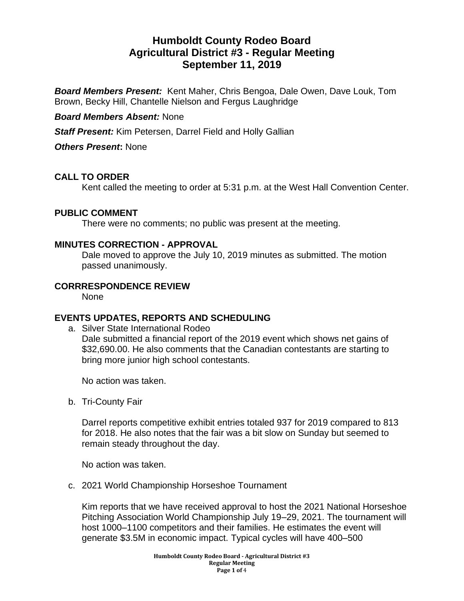# **Humboldt County Rodeo Board Agricultural District #3 - Regular Meeting September 11, 2019**

*Board Members Present:* Kent Maher, Chris Bengoa, Dale Owen, Dave Louk, Tom Brown, Becky Hill, Chantelle Nielson and Fergus Laughridge

# *Board Members Absent:* None

*Staff Present:* Kim Petersen, Darrel Field and Holly Gallian

*Others Present***:** None

# **CALL TO ORDER**

Kent called the meeting to order at 5:31 p.m. at the West Hall Convention Center.

#### **PUBLIC COMMENT**

There were no comments; no public was present at the meeting.

#### **MINUTES CORRECTION - APPROVAL**

Dale moved to approve the July 10, 2019 minutes as submitted. The motion passed unanimously.

# **CORRRESPONDENCE REVIEW**

None

# **EVENTS UPDATES, REPORTS AND SCHEDULING**

a. Silver State International Rodeo Dale submitted a financial report of the 2019 event which shows net gains of \$32,690.00. He also comments that the Canadian contestants are starting to bring more junior high school contestants.

No action was taken.

b. Tri-County Fair

Darrel reports competitive exhibit entries totaled 937 for 2019 compared to 813 for 2018. He also notes that the fair was a bit slow on Sunday but seemed to remain steady throughout the day.

No action was taken.

c. 2021 World Championship Horseshoe Tournament

Kim reports that we have received approval to host the 2021 National Horseshoe Pitching Association World Championship July 19–29, 2021. The tournament will host 1000–1100 competitors and their families. He estimates the event will generate \$3.5M in economic impact. Typical cycles will have 400–500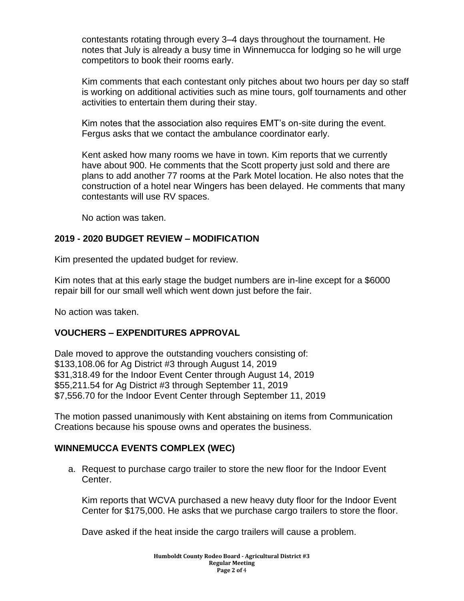contestants rotating through every 3–4 days throughout the tournament. He notes that July is already a busy time in Winnemucca for lodging so he will urge competitors to book their rooms early.

Kim comments that each contestant only pitches about two hours per day so staff is working on additional activities such as mine tours, golf tournaments and other activities to entertain them during their stay.

Kim notes that the association also requires EMT's on-site during the event. Fergus asks that we contact the ambulance coordinator early.

Kent asked how many rooms we have in town. Kim reports that we currently have about 900. He comments that the Scott property just sold and there are plans to add another 77 rooms at the Park Motel location. He also notes that the construction of a hotel near Wingers has been delayed. He comments that many contestants will use RV spaces.

No action was taken.

#### **2019 - 2020 BUDGET REVIEW – MODIFICATION**

Kim presented the updated budget for review.

Kim notes that at this early stage the budget numbers are in-line except for a \$6000 repair bill for our small well which went down just before the fair.

No action was taken.

#### **VOUCHERS – EXPENDITURES APPROVAL**

Dale moved to approve the outstanding vouchers consisting of: \$133,108.06 for Ag District #3 through August 14, 2019 \$31,318.49 for the Indoor Event Center through August 14, 2019 \$55,211.54 for Ag District #3 through September 11, 2019 \$7,556.70 for the Indoor Event Center through September 11, 2019

The motion passed unanimously with Kent abstaining on items from Communication Creations because his spouse owns and operates the business.

#### **WINNEMUCCA EVENTS COMPLEX (WEC)**

a. Request to purchase cargo trailer to store the new floor for the Indoor Event Center.

Kim reports that WCVA purchased a new heavy duty floor for the Indoor Event Center for \$175,000. He asks that we purchase cargo trailers to store the floor.

Dave asked if the heat inside the cargo trailers will cause a problem.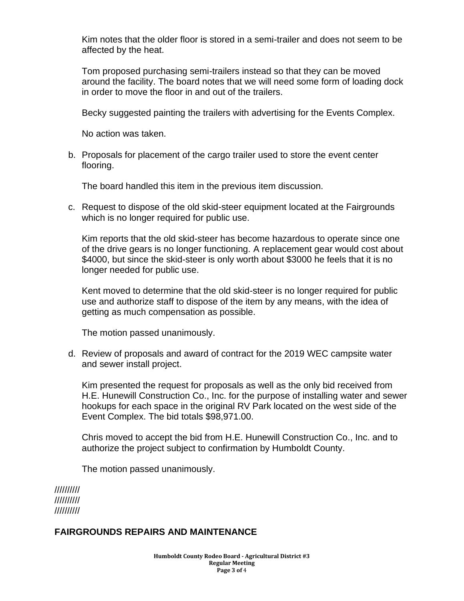Kim notes that the older floor is stored in a semi-trailer and does not seem to be affected by the heat.

Tom proposed purchasing semi-trailers instead so that they can be moved around the facility. The board notes that we will need some form of loading dock in order to move the floor in and out of the trailers.

Becky suggested painting the trailers with advertising for the Events Complex.

No action was taken.

b. Proposals for placement of the cargo trailer used to store the event center flooring.

The board handled this item in the previous item discussion.

c. Request to dispose of the old skid-steer equipment located at the Fairgrounds which is no longer required for public use.

Kim reports that the old skid-steer has become hazardous to operate since one of the drive gears is no longer functioning. A replacement gear would cost about \$4000, but since the skid-steer is only worth about \$3000 he feels that it is no longer needed for public use.

Kent moved to determine that the old skid-steer is no longer required for public use and authorize staff to dispose of the item by any means, with the idea of getting as much compensation as possible.

The motion passed unanimously.

d. Review of proposals and award of contract for the 2019 WEC campsite water and sewer install project.

Kim presented the request for proposals as well as the only bid received from H.E. Hunewill Construction Co., Inc. for the purpose of installing water and sewer hookups for each space in the original RV Park located on the west side of the Event Complex. The bid totals \$98,971.00.

Chris moved to accept the bid from H.E. Hunewill Construction Co., Inc. and to authorize the project subject to confirmation by Humboldt County.

The motion passed unanimously.

////////// ////////// //////////

#### **FAIRGROUNDS REPAIRS AND MAINTENANCE**